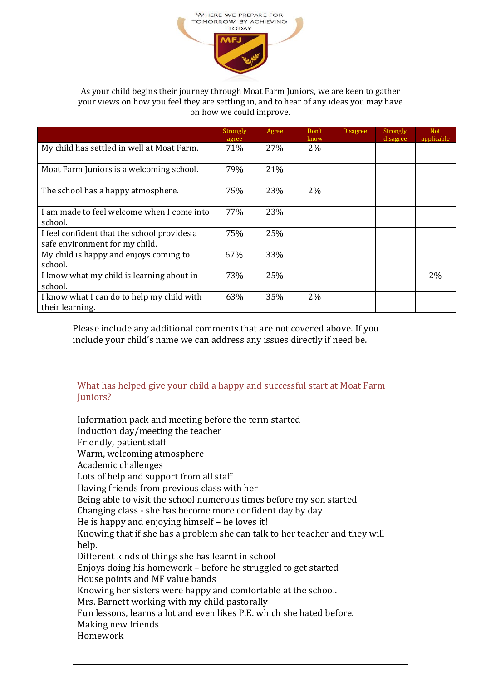

## As your child begins their journey through Moat Farm Juniors, we are keen to gather your views on how you feel they are settling in, and to hear of any ideas you may have on how we could improve.

|                                                                               | Strongly<br>agree | Agree | Don't<br>know | <b>Disagree</b> | <b>Strongly</b><br>disagree | <b>Not</b><br>applicable |
|-------------------------------------------------------------------------------|-------------------|-------|---------------|-----------------|-----------------------------|--------------------------|
| My child has settled in well at Moat Farm.                                    | 71%               | 27%   | 2%            |                 |                             |                          |
| Moat Farm Juniors is a welcoming school.                                      | 79%               | 21%   |               |                 |                             |                          |
| The school has a happy atmosphere.                                            | 75%               | 23%   | 2%            |                 |                             |                          |
| I am made to feel welcome when I come into<br>school.                         | 77%               | 23%   |               |                 |                             |                          |
| I feel confident that the school provides a<br>safe environment for my child. | 75%               | 25%   |               |                 |                             |                          |
| My child is happy and enjoys coming to<br>school.                             | 67%               | 33%   |               |                 |                             |                          |
| I know what my child is learning about in<br>school.                          | 73%               | 25%   |               |                 |                             | 2%                       |
| I know what I can do to help my child with<br>their learning.                 | 63%               | 35%   | $2\%$         |                 |                             |                          |

Please include any additional comments that are not covered above. If you include your child's name we can address any issues directly if need be.

What has helped give your child a happy and successful start at Moat Farm Juniors?

Information pack and meeting before the term started Induction day/meeting the teacher Friendly, patient staff Warm, welcoming atmosphere Academic challenges Lots of help and support from all staff Having friends from previous class with her Being able to visit the school numerous times before my son started Changing class - she has become more confident day by day He is happy and enjoying himself – he loves it! Knowing that if she has a problem she can talk to her teacher and they will help. Different kinds of things she has learnt in school Enjoys doing his homework – before he struggled to get started House points and MF value bands Knowing her sisters were happy and comfortable at the school. Mrs. Barnett working with my child pastorally Fun lessons, learns a lot and even likes P.E. which she hated before. Making new friends Homework